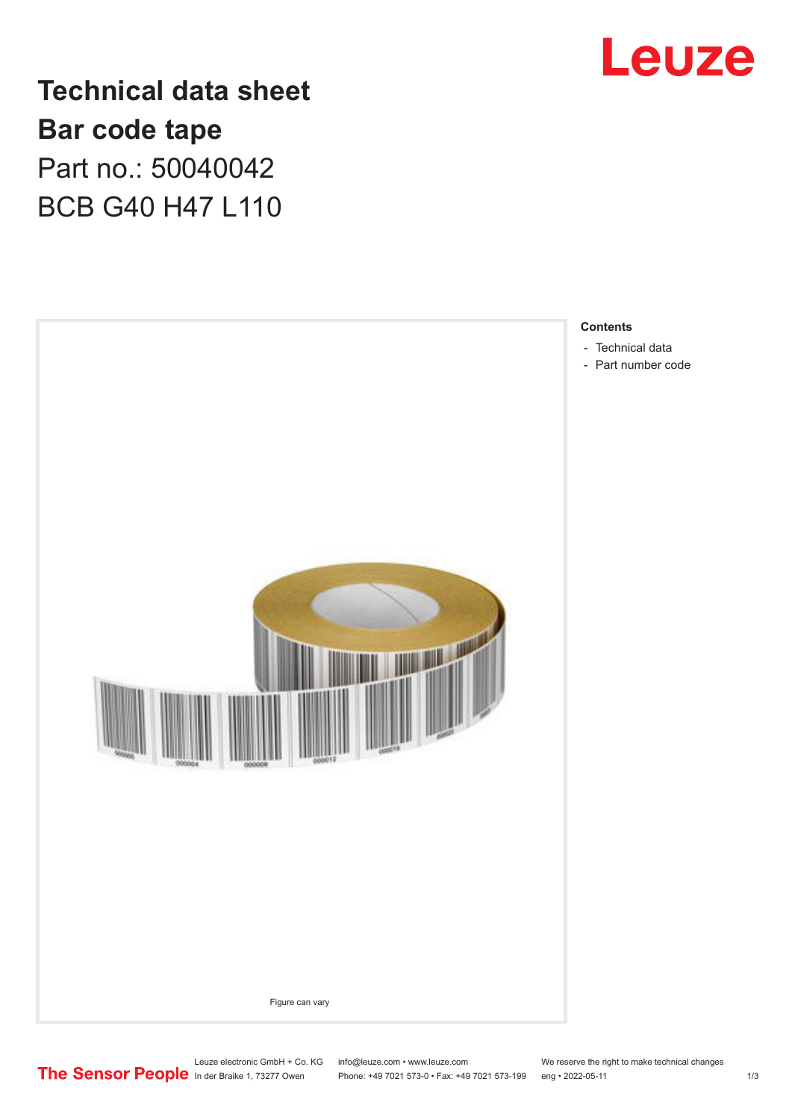

**Technical data sheet Bar code tape** Part no.: 50040042 BCB G40 H47 L110



Leuze electronic GmbH + Co. KG info@leuze.com • www.leuze.com We reserve the right to make technical changes<br>
The Sensor People in der Braike 1, 73277 Owen Phone: +49 7021 573-0 • Fax: +49 7021 573-199 eng • 2022-05-11

Phone: +49 7021 573-0 • Fax: +49 7021 573-199 eng • 2022-05-11 1 2022-05-11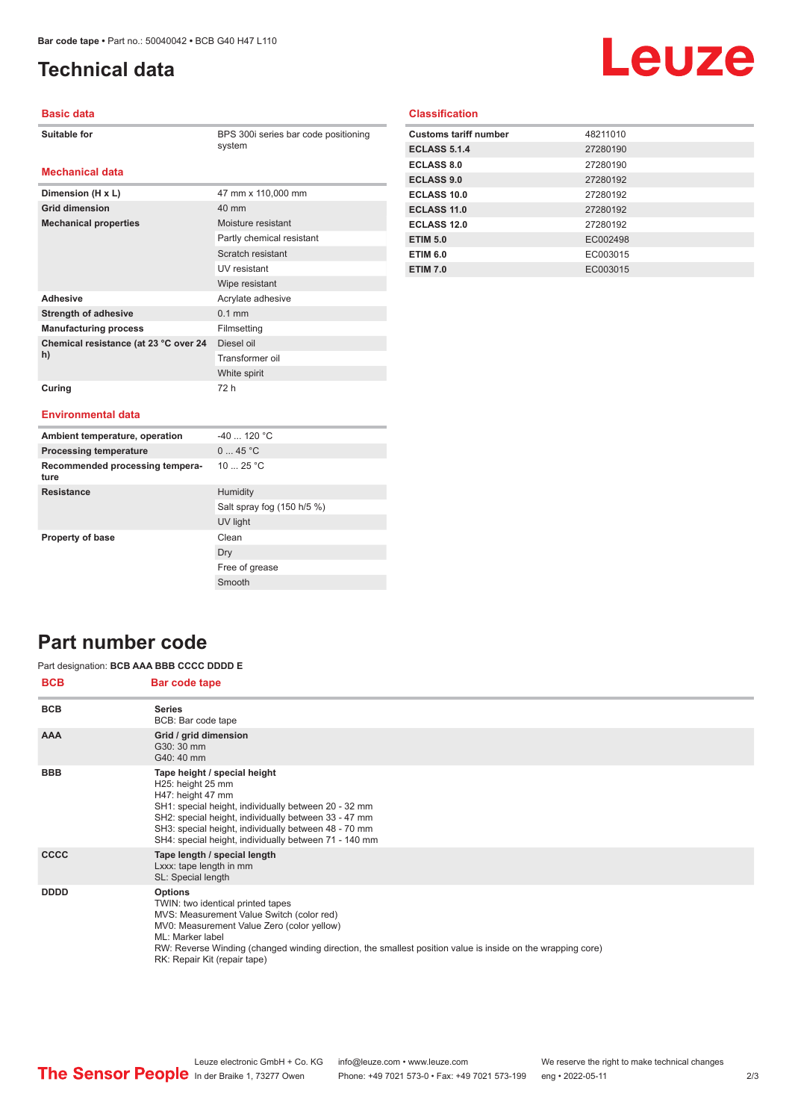**Dimension (H x L)** 47 mm x 110,000 mm

**Mechanical properties** Moisture resistant

Adhesive **Adhesive** Acrylate adhesive **Strength of adhesive** 0.1 mm **Manufacturing process** Filmsetting

**Grid dimension** 40 mm

**Chemical resistance (at 23 °C over 24** 

# <span id="page-1-0"></span>**Technical data**

# Leuze

## **Basic data**

| <b>Suitable for</b> |
|---------------------|
|---------------------|

**Mechanical data**

BPS 300i series bar code positioning system

Partly chemical resistant Scratch resistant UV resistant Wipe resistant

Diesel oil Transformer oil White spirit

## **Classification**

| <b>Customs tariff number</b> | 48211010 |
|------------------------------|----------|
| <b>ECLASS 5.1.4</b>          | 27280190 |
| <b>ECLASS 8.0</b>            | 27280190 |
| <b>ECLASS 9.0</b>            | 27280192 |
| ECLASS 10.0                  | 27280192 |
| ECLASS 11.0                  | 27280192 |
| ECLASS 12.0                  | 27280192 |
| <b>ETIM 5.0</b>              | EC002498 |
| <b>ETIM 6.0</b>              | EC003015 |
| <b>ETIM 7.0</b>              | EC003015 |

#### **Curing** 72 h

**h)**

#### **Environmental data**

| Ambient temperature, operation          | $-40$ 120 °C               |
|-----------------------------------------|----------------------------|
| <b>Processing temperature</b>           | 045 °C                     |
| Recommended processing tempera-<br>ture | 10 $25 °C$                 |
| <b>Resistance</b>                       | Humidity                   |
|                                         | Salt spray fog (150 h/5 %) |
|                                         | UV light                   |
| Property of base                        | Clean                      |
|                                         | Dry                        |
|                                         | Free of grease             |
|                                         | Smooth                     |

## **Part number code**

### Part designation: **BCB AAA BBB CCCC DDDD E**

| <b>BCB</b>  | <b>Bar code tape</b>                                                                                                                                                                                                                                                                                              |
|-------------|-------------------------------------------------------------------------------------------------------------------------------------------------------------------------------------------------------------------------------------------------------------------------------------------------------------------|
| <b>BCB</b>  | <b>Series</b><br>BCB: Bar code tape                                                                                                                                                                                                                                                                               |
| <b>AAA</b>  | Grid / grid dimension<br>G30: 30 mm<br>G40: 40 mm                                                                                                                                                                                                                                                                 |
| <b>BBB</b>  | Tape height / special height<br>H25: height 25 mm<br>H47: height 47 mm<br>SH1: special height, individually between 20 - 32 mm<br>SH2: special height, individually between 33 - 47 mm<br>SH3: special height, individually between 48 - 70 mm<br>SH4: special height, individually between 71 - 140 mm           |
| <b>CCCC</b> | Tape length / special length<br>Lxxx: tape length in mm<br>SL: Special length                                                                                                                                                                                                                                     |
| <b>DDDD</b> | <b>Options</b><br>TWIN: two identical printed tapes<br>MVS: Measurement Value Switch (color red)<br>MV0: Measurement Value Zero (color yellow)<br>ML: Marker label<br>RW: Reverse Winding (changed winding direction, the smallest position value is inside on the wrapping core)<br>RK: Repair Kit (repair tape) |